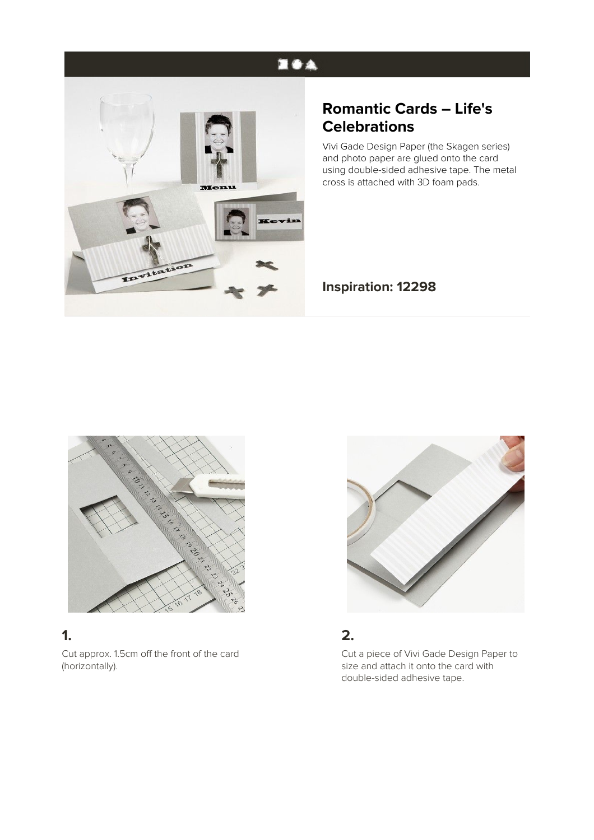## 医香泉



# **Romantic Cards – Life's Celebrations**

Vivi Gade Design Paper (the Skagen series) and photo paper are glued onto the card using double-sided adhesive tape. The metal cross is attached with 3D foam pads.

#### **Inspiration: 12298**



#### **1.**

Cut approx. 1.5cm off the front of the card (horizontally).



#### **2.**

Cut a piece of Vivi Gade Design Paper to size and attach it onto the card with double-sided adhesive tape.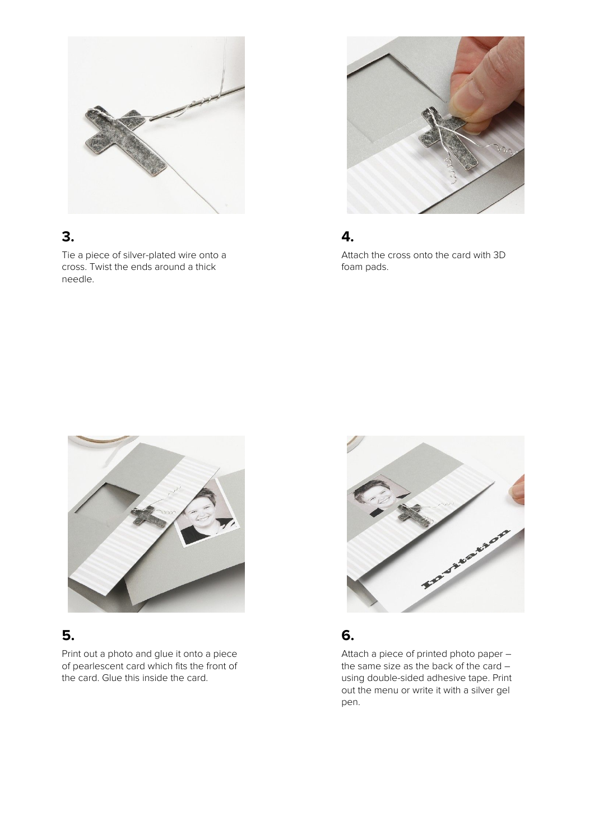

### **3.**

Tie a piece of silver-plated wire onto a cross. Twist the ends around a thick needle.



### **4.**

Attach the cross onto the card with 3D foam pads.



#### **5.**

Print out a photo and glue it onto a piece of pearlescent card which fits the front of the card. Glue this inside the card.



#### **6.**

Attach a piece of printed photo paper – the same size as the back of the card – using double-sided adhesive tape. Print out the menu or write it with a silver gel pen.